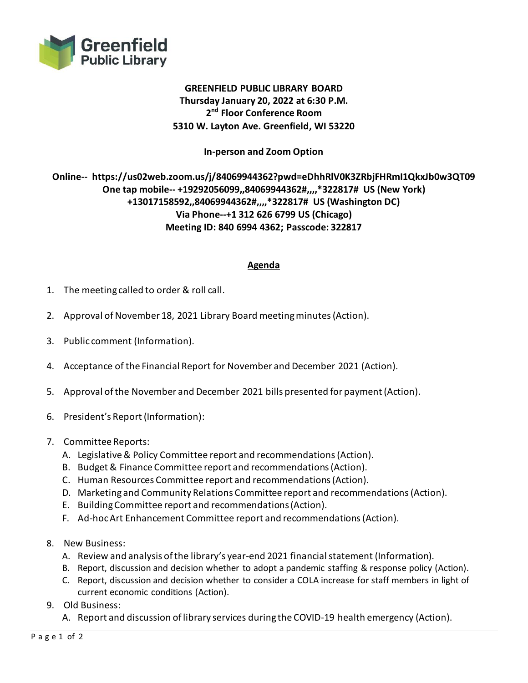

## **GREENFIELD PUBLIC LIBRARY BOARD Thursday January 20, 2022 at 6:30 P.M. 2 nd Floor Conference Room 5310 W. Layton Ave. Greenfield, WI 53220**

**In-person and Zoom Option**

## **Online-- https://us02web.zoom.us/j/84069944362?pwd=eDhhRlV0K3ZRbjFHRmI1QkxJb0w3QT09 One tap mobile-- +19292056099,,84069944362#,,,,\*322817# US (New York) +13017158592,,84069944362#,,,,\*322817# US (Washington DC) Via Phone--+1 312 626 6799 US (Chicago) Meeting ID: 840 6994 4362; Passcode: 322817**

## **Agenda**

- 1. The meeting called to order & roll call.
- 2. Approval of November 18, 2021 Library Board meeting minutes (Action).
- 3. Public comment (Information).
- 4. Acceptance of the Financial Report for November and December 2021 (Action).
- 5. Approval of the November and December 2021 bills presented for payment (Action).
- 6. President's Report (Information):
- 7. Committee Reports:
	- A. Legislative & Policy Committee report and recommendations(Action).
	- B. Budget & Finance Committee report and recommendations (Action).
	- C. Human Resources Committee report and recommendations (Action).
	- D. Marketing and Community Relations Committee report and recommendations (Action).
	- E. Building Committee report and recommendations(Action).
	- F. Ad-hoc Art Enhancement Committee report and recommendations(Action).
- 8. New Business:
	- A. Review and analysis of the library's year-end 2021 financial statement (Information).
	- B. Report, discussion and decision whether to adopt a pandemic staffing & response policy (Action).
	- C. Report, discussion and decision whether to consider a COLA increase for staff members in light of current economic conditions (Action).
- 9. Old Business:
	- A. Report and discussion of library services during the COVID-19 health emergency (Action).